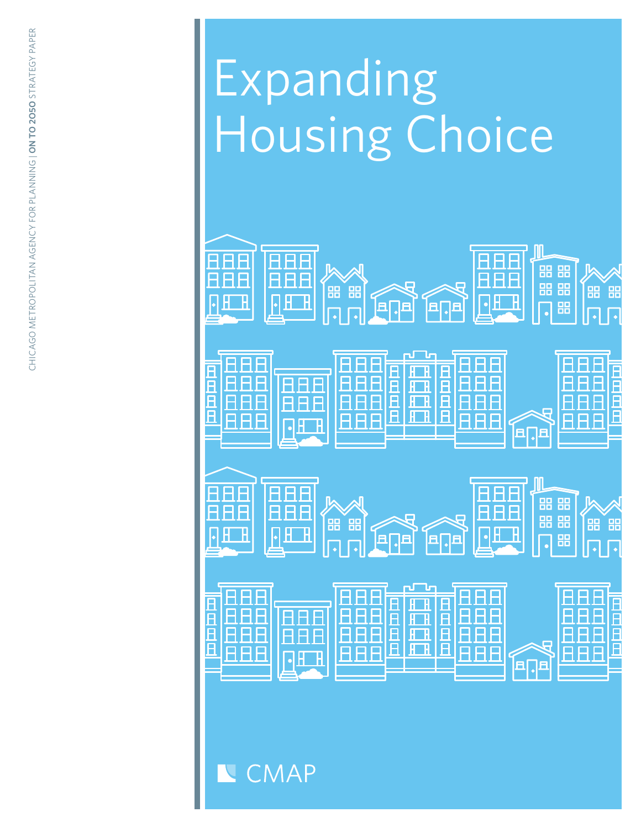# Expanding Housing Choice



**CMAP**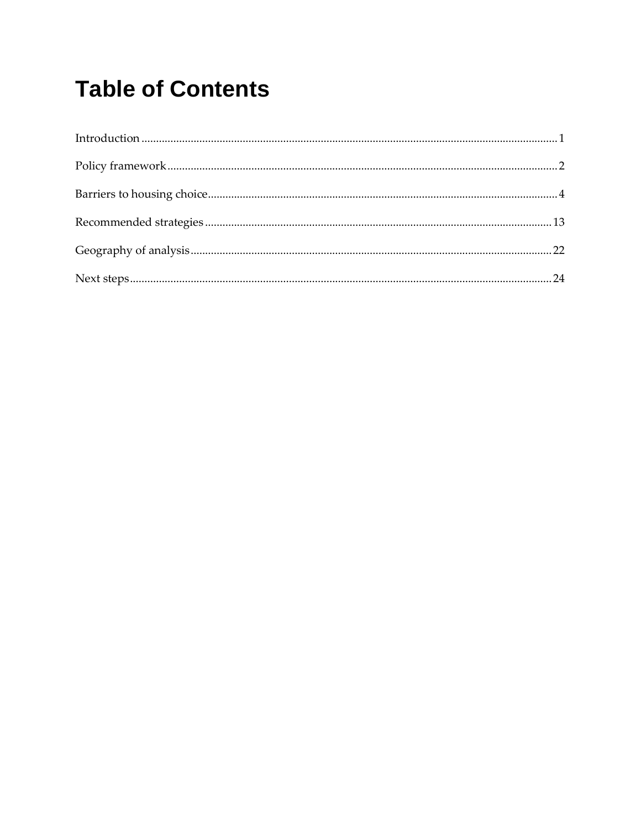# **Table of Contents**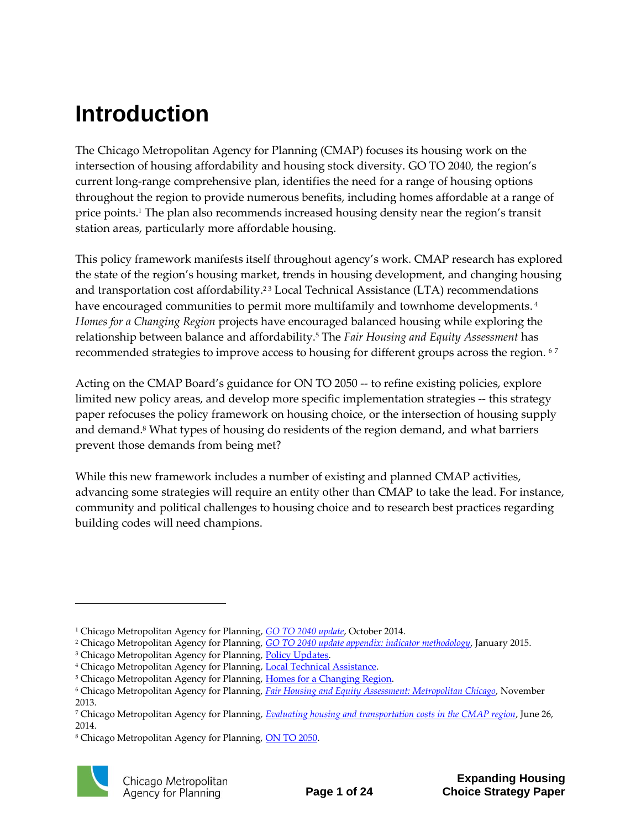# <span id="page-2-0"></span>**Introduction**

The Chicago Metropolitan Agency for Planning (CMAP) focuses its housing work on the intersection of housing affordability and housing stock diversity. GO TO 2040, the region's current long-range comprehensive plan, identifies the need for a range of housing options throughout the region to provide numerous benefits, including homes affordable at a range of price points. <sup>1</sup> The plan also recommends increased housing density near the region's transit station areas, particularly more affordable housing.

This policy framework manifests itself throughout agency's work. CMAP research has explored the state of the region's housing market, trends in housing development, and changing housing and transportation cost affordability.<sup>23</sup> Local Technical Assistance (LTA) recommendations have encouraged communities to permit more multifamily and townhome developments. 4 *Homes for a Changing Region* projects have encouraged balanced housing while exploring the relationship between balance and affordability.<sup>5</sup> The *Fair Housing and Equity Assessment* has recommended strategies to improve access to housing for different groups across the region. <sup>67</sup>

Acting on the CMAP Board's guidance for ON TO 2050 -- to refine existing policies, explore limited new policy areas, and develop more specific implementation strategies -- this strategy paper refocuses the policy framework on housing choice, or the intersection of housing supply and demand. <sup>8</sup> What types of housing do residents of the region demand, and what barriers prevent those demands from being met?

While this new framework includes a number of existing and planned CMAP activities, advancing some strategies will require an entity other than CMAP to take the lead. For instance, community and political challenges to housing choice and to research best practices regarding building codes will need champions.

<sup>&</sup>lt;sup>8</sup> Chicago Metropolitan Agency for Planning[, ON TO 2050.](http://www.cmap.illinois.gov/onto2050)



<sup>1</sup> Chicago Metropolitan Agency for Planning, *[GO TO 2040 update](http://www.cmap.illinois.gov/about/2040)*[,](http://www.cmap.illinois.gov/about/2040) October 2014.

<sup>2</sup> Chicago Metropolitan Agency for Planning, *[GO TO 2040 update appendix: indicator methodology](http://www.cmap.illinois.gov/documents/10180/332742/Update+Indicator+Methodology+FINAL.pdf/720e4b90-0058-4d27-bdff-e898cdf3fb2b)*[,](http://www.cmap.illinois.gov/documents/10180/332742/Update+Indicator+Methodology+FINAL.pdf/720e4b90-0058-4d27-bdff-e898cdf3fb2b) January 2015.

<sup>&</sup>lt;sup>3</sup> Chicago Metropolitan Agency for Planning[, Policy Updates.](http://www.cmap.illinois.gov/about/updates/policy?categoryIdList=424431&q=)

<sup>&</sup>lt;sup>4</sup> Chicago Metropolitan Agency for Planning[, Local Technical Assistance.](http://www.cmap.illinois.gov/programs-and-resources/lta)

<sup>&</sup>lt;sup>5</sup> Chicago Metropolitan Agency for Planning[, Homes for a Changing Region.](http://www.cmap.illinois.gov/livability/housing/homes)

<sup>6</sup> Chicago Metropolitan Agency for Planning, *[Fair Housing and Equity Assessment: Metropolitan Chicago](http://www.cmap.illinois.gov/documents/10180/198094/Chicago%20Region%20FHEA%20November%202013%20HUD%20Submission.pdf/b0c6946e-4425-49fe-8d0a-f336903bc464)*, November 2013.

<sup>7</sup> Chicago Metropolitan Agency for Planning, *[Evaluating housing and transportation costs in the CMAP region](http://www.cmap.illinois.gov/about/updates/policy/-/asset_publisher/U9jFxa68cnNA/content/evaluating-housing-and-transportation-costs-in-the-cmap-region)*, June 26, 2014.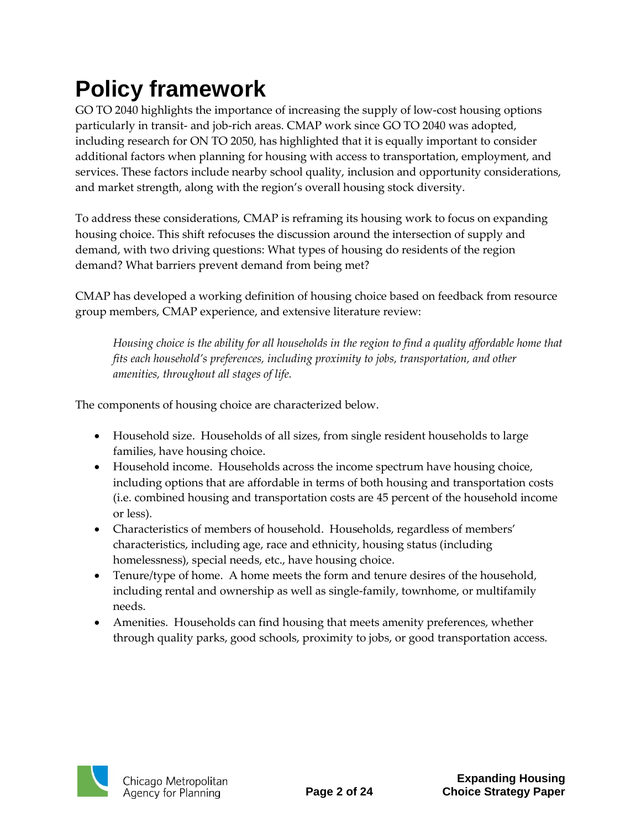# <span id="page-3-0"></span>**Policy framework**

GO TO 2040 highlights the importance of increasing the supply of low-cost housing options particularly in transit- and job-rich areas. CMAP work since GO TO 2040 was adopted, including research for ON TO 2050, has highlighted that it is equally important to consider additional factors when planning for housing with access to transportation, employment, and services. These factors include nearby school quality, inclusion and opportunity considerations, and market strength, along with the region's overall housing stock diversity.

To address these considerations, CMAP is reframing its housing work to focus on expanding housing choice. This shift refocuses the discussion around the intersection of supply and demand, with two driving questions: What types of housing do residents of the region demand? What barriers prevent demand from being met?

CMAP has developed a working definition of housing choice based on feedback from resource group members, CMAP experience, and extensive literature review:

*Housing choice is the ability for all households in the region to find a quality affordable home that fits each household's preferences, including proximity to jobs, transportation, and other amenities, throughout all stages of life.* 

The components of housing choice are characterized below.

- Household size. Households of all sizes, from single resident households to large families, have housing choice.
- Household income. Households across the income spectrum have housing choice, including options that are affordable in terms of both housing and transportation costs (i.e. combined housing and transportation costs are 45 percent of the household income or less).
- Characteristics of members of household. Households, regardless of members' characteristics, including age, race and ethnicity, housing status (including homelessness), special needs, etc., have housing choice.
- Tenure/type of home. A home meets the form and tenure desires of the household, including rental and ownership as well as single-family, townhome, or multifamily needs.
- Amenities. Households can find housing that meets amenity preferences, whether through quality parks, good schools, proximity to jobs, or good transportation access.

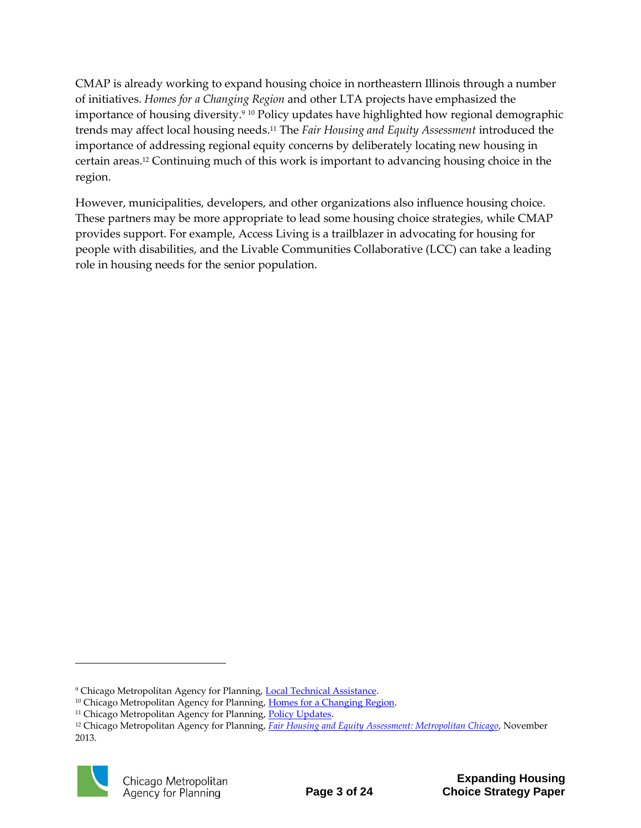CMAP is already working to expand housing choice in northeastern Illinois through a number of initiatives. *Homes for a Changing Region* and other LTA projects have emphasized the importance of housing diversity. <sup>9</sup> <sup>10</sup> Policy updates have highlighted how regional demographic trends may affect local housing needs. <sup>11</sup> The *Fair Housing and Equity Assessment* introduced the importance of addressing regional equity concerns by deliberately locating new housing in certain areas. <sup>12</sup> Continuing much of this work is important to advancing housing choice in the region.

However, municipalities, developers, and other organizations also influence housing choice. These partners may be more appropriate to lead some housing choice strategies, while CMAP provides support. For example, Access Living is a trailblazer in advocating for housing for people with disabilities, and the Livable Communities Collaborative (LCC) can take a leading role in housing needs for the senior population.

<sup>12</sup> Chicago Metropolitan Agency for Planning, *[Fair Housing and Equity Assessment: Metropolitan Chicago](http://www.cmap.illinois.gov/documents/10180/198094/Chicago%20Region%20FHEA%20November%202013%20HUD%20Submission.pdf/b0c6946e-4425-49fe-8d0a-f336903bc464)*, November 2013.



<sup>&</sup>lt;sup>9</sup> Chicago Metropolitan Agency for Planning[, Local Technical Assistance.](http://www.cmap.illinois.gov/programs-and-resources/lta)

<sup>&</sup>lt;sup>10</sup> Chicago Metropolitan Agency for Planning, [Homes for a Changing Region.](http://www.cmap.illinois.gov/livability/housing/homes)

<sup>&</sup>lt;sup>11</sup> Chicago Metropolitan Agency for Planning, **Policy Updates**.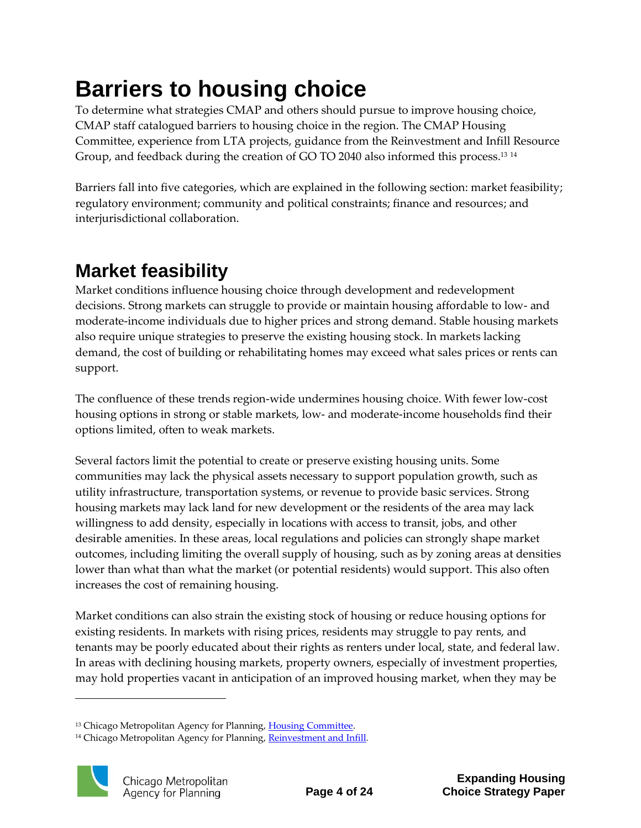# <span id="page-5-0"></span>**Barriers to housing choice**

To determine what strategies CMAP and others should pursue to improve housing choice, CMAP staff catalogued barriers to housing choice in the region. The CMAP Housing Committee, experience from LTA projects, guidance from the Reinvestment and Infill Resource Group, and feedback during the creation of GO TO 2040 also informed this process. 13 14

Barriers fall into five categories, which are explained in the following section: market feasibility; regulatory environment; community and political constraints; finance and resources; and interjurisdictional collaboration.

### **Market feasibility**

Market conditions influence housing choice through development and redevelopment decisions. Strong markets can struggle to provide or maintain housing affordable to low- and moderate-income individuals due to higher prices and strong demand. Stable housing markets also require unique strategies to preserve the existing housing stock. In markets lacking demand, the cost of building or rehabilitating homes may exceed what sales prices or rents can support.

The confluence of these trends region-wide undermines housing choice. With fewer low-cost housing options in strong or stable markets, low- and moderate-income households find their options limited, often to weak markets.

Several factors limit the potential to create or preserve existing housing units. Some communities may lack the physical assets necessary to support population growth, such as utility infrastructure, transportation systems, or revenue to provide basic services. Strong housing markets may lack land for new development or the residents of the area may lack willingness to add density, especially in locations with access to transit, jobs, and other desirable amenities. In these areas, local regulations and policies can strongly shape market outcomes, including limiting the overall supply of housing, such as by zoning areas at densities lower than what than what the market (or potential residents) would support. This also often increases the cost of remaining housing.

Market conditions can also strain the existing stock of housing or reduce housing options for existing residents. In markets with rising prices, residents may struggle to pay rents, and tenants may be poorly educated about their rights as renters under local, state, and federal law. In areas with declining housing markets, property owners, especially of investment properties, may hold properties vacant in anticipation of an improved housing market, when they may be

<sup>&</sup>lt;sup>14</sup> Chicago Metropolitan Agency for Planning, [Reinvestment and Infill](http://www.cmap.illinois.gov/onto2050/strategy-papers/reinvestment-infill).



<sup>&</sup>lt;sup>13</sup> Chicago Metropolitan Agency for Planning, Housing Committee.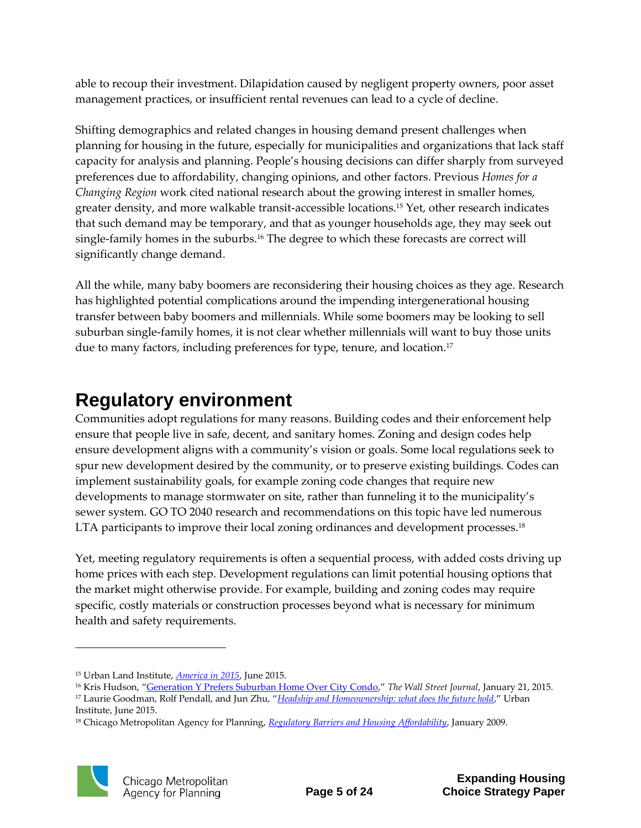able to recoup their investment. Dilapidation caused by negligent property owners, poor asset management practices, or insufficient rental revenues can lead to a cycle of decline.

Shifting demographics and related changes in housing demand present challenges when planning for housing in the future, especially for municipalities and organizations that lack staff capacity for analysis and planning. People's housing decisions can differ sharply from surveyed preferences due to affordability, changing opinions, and other factors. Previous *Homes for a Changing Region* work cited national research about the growing interest in smaller homes, greater density, and more walkable transit-accessible locations.<sup>15</sup> Yet, other research indicates that such demand may be temporary, and that as younger households age, they may seek out single-family homes in the suburbs.<sup>16</sup> The degree to which these forecasts are correct will significantly change demand.

All the while, many baby boomers are reconsidering their housing choices as they age. Research has highlighted potential complications around the impending intergenerational housing transfer between baby boomers and millennials. While some boomers may be looking to sell suburban single-family homes, it is not clear whether millennials will want to buy those units due to many factors, including preferences for type, tenure, and location.<sup>17</sup>

### **Regulatory environment**

Communities adopt regulations for many reasons. Building codes and their enforcement help ensure that people live in safe, decent, and sanitary homes. Zoning and design codes help ensure development aligns with a community's vision or goals. Some local regulations seek to spur new development desired by the community, or to preserve existing buildings. Codes can implement sustainability goals, for example zoning code changes that require new developments to manage stormwater on site, rather than funneling it to the municipality's sewer system. GO TO 2040 research and recommendations on this topic have led numerous LTA participants to improve their local zoning ordinances and development processes.<sup>18</sup>

Yet, meeting regulatory requirements is often a sequential process, with added costs driving up home prices with each step. Development regulations can limit potential housing options that the market might otherwise provide. For example, building and zoning codes may require specific, costly materials or construction processes beyond what is necessary for minimum health and safety requirements.

<sup>18</sup> Chicago Metropolitan Agency for Planning, *[Regulatory Barriers and Housing Affordability](http://www.cmap.illinois.gov/about/2040/supporting-materials/process-archive/strategy-papers/regulatory-barriers)*, January 2009.



<sup>15</sup> Urban Land Institute, *[America in 2015](http://uli.org/wp-content/uploads/ULI-Documents/America-in-2015.pdf)*, June 2015.

<sup>16</sup> Kris Hudson, "[Generation Y Prefers Suburban Home Over City Condo](http://www.wsj.com/articles/millennials-prefer-single-family-homes-in-the-suburbs-1421896797)," *The Wall Street Journal*, January 21, 2015. <sup>17</sup> Laurie Goodman, Rolf Pendall, and Jun Zhu, "*[Headship and Homeownership: what does the future hold](http://www.urban.org/sites/default/files/2000257-headship-and-homeownership-what-does-the-future-hold.pdf)*," Urban Institute, June 2015.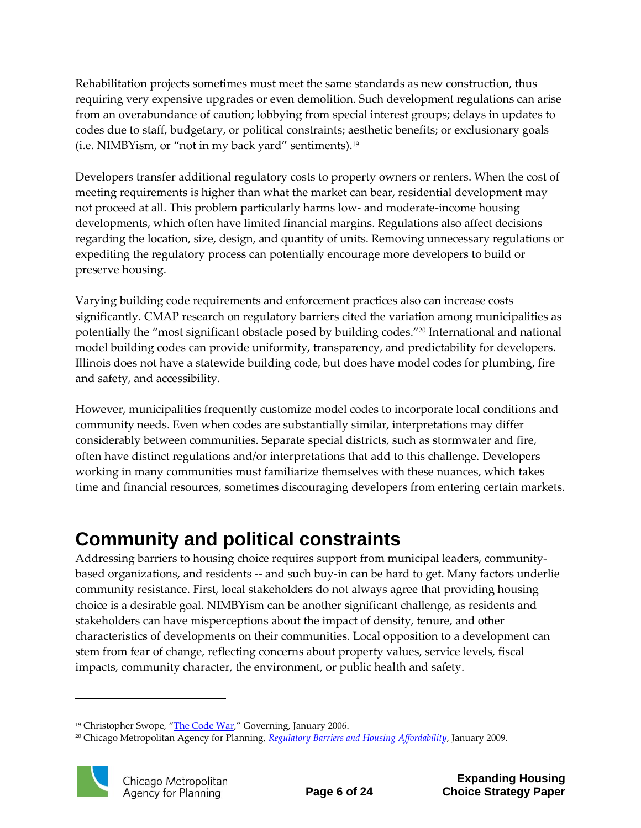Rehabilitation projects sometimes must meet the same standards as new construction, thus requiring very expensive upgrades or even demolition. Such development regulations can arise from an overabundance of caution; lobbying from special interest groups; delays in updates to codes due to staff, budgetary, or political constraints; aesthetic benefits; or exclusionary goals (i.e. NIMBYism, or "not in my back yard" sentiments). 19

Developers transfer additional regulatory costs to property owners or renters. When the cost of meeting requirements is higher than what the market can bear, residential development may not proceed at all. This problem particularly harms low- and moderate-income housing developments, which often have limited financial margins. Regulations also affect decisions regarding the location, size, design, and quantity of units. Removing unnecessary regulations or expediting the regulatory process can potentially encourage more developers to build or preserve housing.

Varying building code requirements and enforcement practices also can increase costs significantly. CMAP research on regulatory barriers cited the variation among municipalities as potentially the "most significant obstacle posed by building codes."<sup>20</sup> International and national model building codes can provide uniformity, transparency, and predictability for developers. Illinois does not have a statewide building code, but does have model codes for plumbing, fire and safety, and accessibility.

However, municipalities frequently customize model codes to incorporate local conditions and community needs. Even when codes are substantially similar, interpretations may differ considerably between communities. Separate special districts, such as stormwater and fire, often have distinct regulations and/or interpretations that add to this challenge. Developers working in many communities must familiarize themselves with these nuances, which takes time and financial resources, sometimes discouraging developers from entering certain markets.

### **Community and political constraints**

Addressing barriers to housing choice requires support from municipal leaders, communitybased organizations, and residents -- and such buy-in can be hard to get. Many factors underlie community resistance. First, local stakeholders do not always agree that providing housing choice is a desirable goal. NIMBYism can be another significant challenge, as residents and stakeholders can have misperceptions about the impact of density, tenure, and other characteristics of developments on their communities. Local opposition to a development can stem from fear of change, reflecting concerns about property values, service levels, fiscal impacts, community character, the environment, or public health and safety.

<sup>20</sup> Chicago Metropolitan Agency for Planning, *[Regulatory Barriers and Housing Affordability](http://www.cmap.illinois.gov/about/2040/supporting-materials/process-archive/strategy-papers/regulatory-barriers)*, January 2009.



<sup>&</sup>lt;sup>19</sup> Christopher Swope, "[The Code War](http://www.governing.com/topics/transportation-infrastructure/Code-War.html)," Governing, January 2006.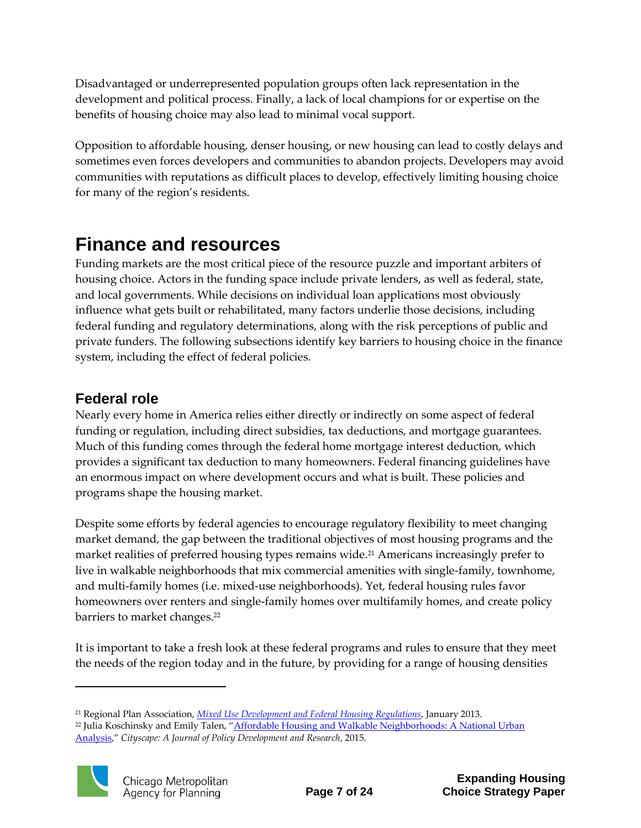Disadvantaged or underrepresented population groups often lack representation in the development and political process. Finally, a lack of local champions for or expertise on the benefits of housing choice may also lead to minimal vocal support.

Opposition to affordable housing, denser housing, or new housing can lead to costly delays and sometimes even forces developers and communities to abandon projects. Developers may avoid communities with reputations as difficult places to develop, effectively limiting housing choice for many of the region's residents.

### **Finance and resources**

Funding markets are the most critical piece of the resource puzzle and important arbiters of housing choice. Actors in the funding space include private lenders, as well as federal, state, and local governments. While decisions on individual loan applications most obviously influence what gets built or rehabilitated, many factors underlie those decisions, including federal funding and regulatory determinations, along with the risk perceptions of public and private funders. The following subsections identify key barriers to housing choice in the finance system, including the effect of federal policies.

### **Federal role**

Nearly every home in America relies either directly or indirectly on some aspect of federal funding or regulation, including direct subsidies, tax deductions, and mortgage guarantees. Much of this funding comes through the federal home mortgage interest deduction, which provides a significant tax deduction to many homeowners. Federal financing guidelines have an enormous impact on where development occurs and what is built. These policies and programs shape the housing market.

Despite some efforts by federal agencies to encourage regulatory flexibility to meet changing market demand, the gap between the traditional objectives of most housing programs and the market realities of preferred housing types remains wide.<sup>21</sup> Americans increasingly prefer to live in walkable neighborhoods that mix commercial amenities with single-family, townhome, and multi-family homes (i.e. mixed-use neighborhoods). Yet, federal housing rules favor homeowners over renters and single-family homes over multifamily homes, and create policy barriers to market changes.<sup>22</sup>

It is important to take a fresh look at these federal programs and rules to ensure that they meet the needs of the region today and in the future, by providing for a range of housing densities

<sup>&</sup>lt;sup>22</sup> Julia Koschinsky and Emily Talen, "Affordable Housing and Walkable Neighborhoods: A National Urban [Analysis](https://www.huduser.gov/portal/periodicals/cityscpe/vol17num2/ch1.pdf)," *Cityscape: A Journal of Policy Development and Research*, 2015.



<sup>21</sup> Regional Plan Association, *[Mixed Use Development and Federal Housing Regulations](https://www.cnu.org/sites/default/files/mixed_use_final_report_1-14-13_0.pdf)*, January 2013.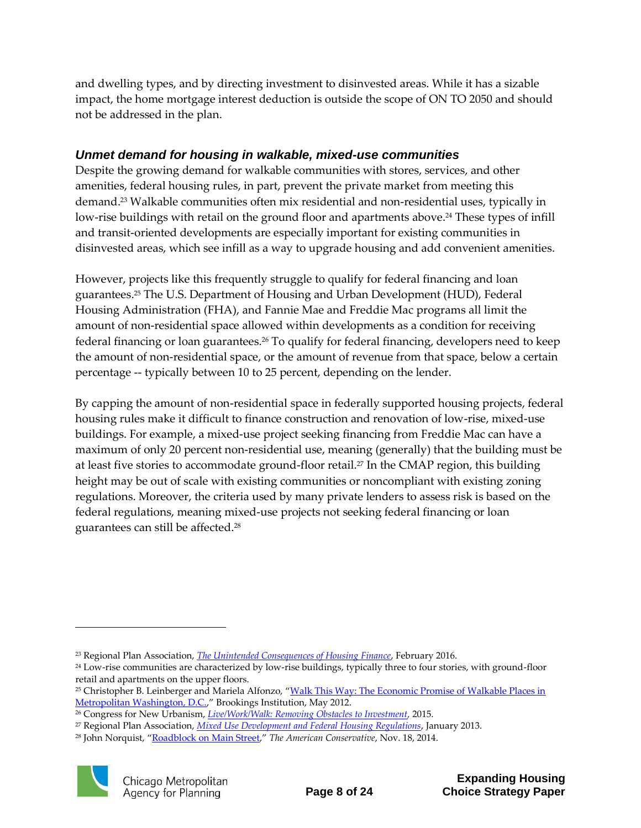and dwelling types, and by directing investment to disinvested areas. While it has a sizable impact, the home mortgage interest deduction is outside the scope of ON TO 2050 and should not be addressed in the plan.

#### *Unmet demand for housing in walkable, mixed-use communities*

Despite the growing demand for walkable communities with stores, services, and other amenities, federal housing rules, in part, prevent the private market from meeting this demand.<sup>23</sup> Walkable communities often mix residential and non-residential uses, typically in low-rise buildings with retail on the ground floor and apartments above. <sup>24</sup> These types of infill and transit-oriented developments are especially important for existing communities in disinvested areas, which see infill as a way to upgrade housing and add convenient amenities.

However, projects like this frequently struggle to qualify for federal financing and loan guarantees. <sup>25</sup> The U.S. Department of Housing and Urban Development (HUD), Federal Housing Administration (FHA), and Fannie Mae and Freddie Mac programs all limit the amount of non-residential space allowed within developments as a condition for receiving federal financing or loan guarantees.<sup>26</sup> To qualify for federal financing, developers need to keep the amount of non-residential space, or the amount of revenue from that space, below a certain percentage -- typically between 10 to 25 percent, depending on the lender.

By capping the amount of non-residential space in federally supported housing projects, federal housing rules make it difficult to finance construction and renovation of low-rise, mixed-use buildings. For example, a mixed-use project seeking financing from Freddie Mac can have a maximum of only 20 percent non-residential use, meaning (generally) that the building must be at least five stories to accommodate ground-floor retail.<sup>27</sup> In the CMAP region, this building height may be out of scale with existing communities or noncompliant with existing zoning regulations. Moreover, the criteria used by many private lenders to assess risk is based on the federal regulations, meaning mixed-use projects not seeking federal financing or loan guarantees can still be affected.<sup>28</sup>

<sup>28</sup> John Norquist, "[Roadblock on Main Street](http://www.theamericanconservative.com/articles/roadblock-on-main-street/)," *The American Conservative*, Nov. 18, 2014.



<sup>23</sup> Regional Plan Association, *[The Unintended Consequences of Housing Finance](http://static1.squarespace.com/static/53dd6676e4b0fedfbc26ea91/t/56c4e43cab48de9641559379/1455744066769/rpa-the-unintended-consequences-of-housing-finance__final.pdf)*, February 2016.

<sup>&</sup>lt;sup>24</sup> Low-rise communities are characterized by low-rise buildings, typically three to four stories, with ground-floor retail and apartments on the upper floors.

<sup>&</sup>lt;sup>25</sup> Christopher B. Leinberger and Mariela Alfonzo, "Walk This Way: The Economic Promise of Walkable Places in [Metropolitan Washington, D.C.](https://www.brookings.edu/wp-content/uploads/2016/06/25-walkable-places-leinberger.pdf)," Brookings Institution, May 2012.

<sup>26</sup> Congress for New Urbanism, *[Live/Work/Walk: Removing Obstacles to Investment,](http://cnu.civicactions.net/liveworkwalk)* 2015.

<sup>27</sup> Regional Plan Association, *[Mixed Use Development and Federal Housing Regulations](https://www.cnu.org/sites/default/files/mixed_use_final_report_1-14-13_0.pdf)*, January 2013.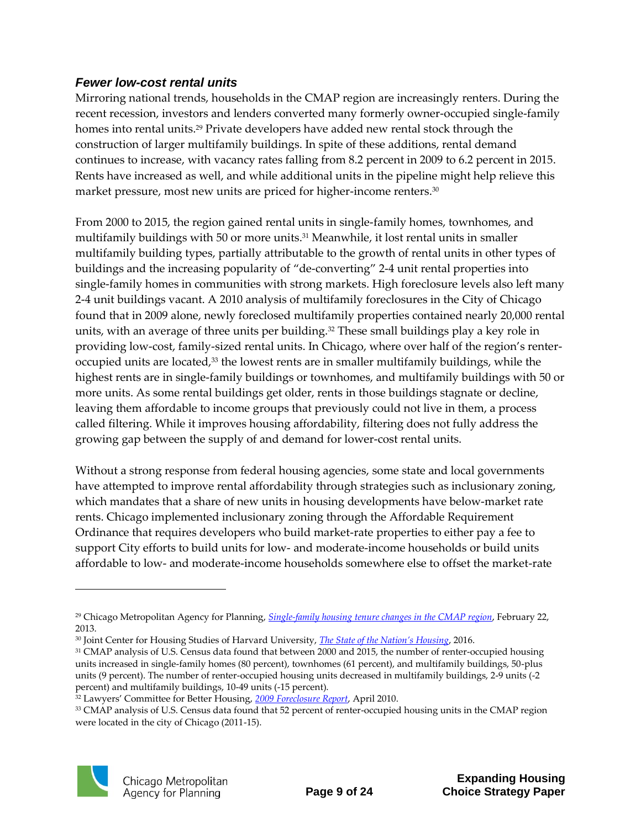#### *Fewer low-cost rental units*

Mirroring national trends, households in the CMAP region are increasingly renters. During the recent recession, investors and lenders converted many formerly owner-occupied single-family homes into rental units.<sup>29</sup> Private developers have added new rental stock through the construction of larger multifamily buildings. In spite of these additions, rental demand continues to increase, with vacancy rates falling from 8.2 percent in 2009 to 6.2 percent in 2015. Rents have increased as well, and while additional units in the pipeline might help relieve this market pressure, most new units are priced for higher-income renters.<sup>30</sup>

From 2000 to 2015, the region gained rental units in single-family homes, townhomes, and multifamily buildings with 50 or more units. <sup>31</sup> Meanwhile, it lost rental units in smaller multifamily building types, partially attributable to the growth of rental units in other types of buildings and the increasing popularity of "de-converting" 2-4 unit rental properties into single-family homes in communities with strong markets. High foreclosure levels also left many 2-4 unit buildings vacant. A 2010 analysis of multifamily foreclosures in the City of Chicago found that in 2009 alone, newly foreclosed multifamily properties contained nearly 20,000 rental units, with an average of three units per building.<sup>32</sup> These small buildings play a key role in providing low-cost, family-sized rental units. In Chicago, where over half of the region's renteroccupied units are located,<sup>33</sup> the lowest rents are in smaller multifamily buildings, while the highest rents are in single-family buildings or townhomes, and multifamily buildings with 50 or more units. As some rental buildings get older, rents in those buildings stagnate or decline, leaving them affordable to income groups that previously could not live in them, a process called filtering. While it improves housing affordability, filtering does not fully address the growing gap between the supply of and demand for lower-cost rental units.

Without a strong response from federal housing agencies, some state and local governments have attempted to improve rental affordability through strategies such as inclusionary zoning, which mandates that a share of new units in housing developments have below-market rate rents. Chicago implemented inclusionary zoning through the Affordable Requirement Ordinance that requires developers who build market-rate properties to either pay a fee to support City efforts to build units for low- and moderate-income households or build units affordable to low- and moderate-income households somewhere else to offset the market-rate

<sup>33</sup> CMAP analysis of U.S. Census data found that 52 percent of renter-occupied housing units in the CMAP region were located in the city of Chicago (2011-15).



<sup>29</sup> Chicago Metropolitan Agency for Planning, *[Single-family housing tenure changes in the CMAP region](http://www.cmap.illinois.gov/about/updates/policy/-/asset_publisher/U9jFxa68cnNA/content/single-family-housing-tenure-changes-in-the-cmap-region)*, February 22, 2013.

<sup>30</sup> Joint Center for Housing Studies of Harvard University, *[The State of the Nation's Housing](http://www.jchs.harvard.edu/sites/jchs.harvard.edu/files/jchs_2016_state_of_the_nations_housing_lowres.pdf)*, 2016.

<sup>&</sup>lt;sup>31</sup> CMAP analysis of U.S. Census data found that between 2000 and 2015, the number of renter-occupied housing units increased in single-family homes (80 percent), townhomes (61 percent), and multifamily buildings, 50-plus units (9 percent). The number of renter-occupied housing units decreased in multifamily buildings, 2-9 units (-2 percent) and multifamily buildings, 10-49 units (-15 percent).

<sup>32</sup> Lawyers' Committee for Better Housing, *[2009 Foreclosure Report](http://lcbh.org/reports/foreclosure/2009)*, April 2010.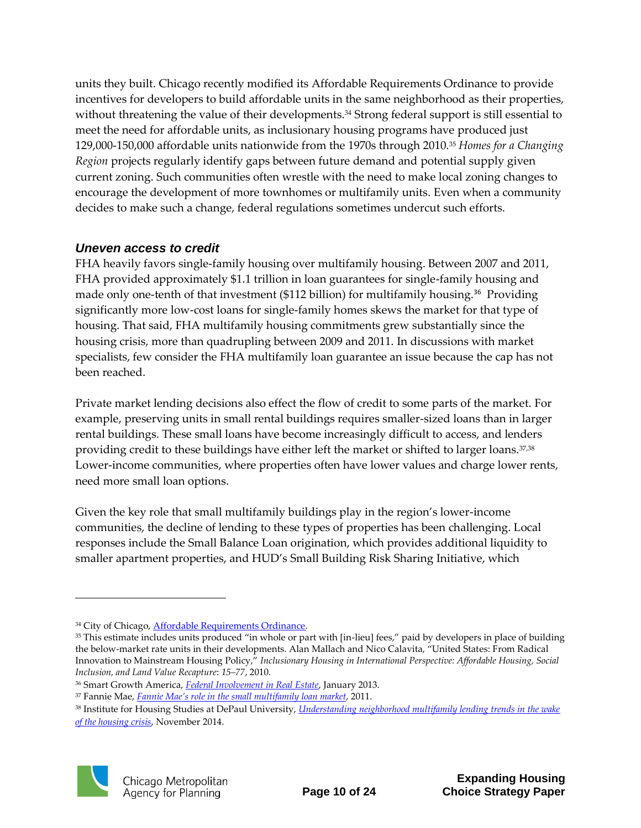units they built. Chicago recently modified its Affordable Requirements Ordinance to provide incentives for developers to build affordable units in the same neighborhood as their properties, without threatening the value of their developments.<sup>34</sup> Strong federal support is still essential to meet the need for affordable units, as inclusionary housing programs have produced just 129,000-150,000 affordable units nationwide from the 1970s through 2010.<sup>35</sup> *Homes for a Changing Region* projects regularly identify gaps between future demand and potential supply given current zoning. Such communities often wrestle with the need to make local zoning changes to encourage the development of more townhomes or multifamily units. Even when a community decides to make such a change, federal regulations sometimes undercut such efforts.

#### *Uneven access to credit*

FHA heavily favors single-family housing over multifamily housing. Between 2007 and 2011, FHA provided approximately \$1.1 trillion in loan guarantees for single-family housing and made only one-tenth of that investment (\$112 billion) for multifamily housing.<sup>36</sup> Providing significantly more low-cost loans for single-family homes skews the market for that type of housing. That said, FHA multifamily housing commitments grew substantially since the housing crisis, more than quadrupling between 2009 and 2011. In discussions with market specialists, few consider the FHA multifamily loan guarantee an issue because the cap has not been reached.

Private market lending decisions also effect the flow of credit to some parts of the market. For example, preserving units in small rental buildings requires smaller-sized loans than in larger rental buildings. These small loans have become increasingly difficult to access, and lenders providing credit to these buildings have either left the market or shifted to larger loans.<sup>37,38</sup> Lower-income communities, where properties often have lower values and charge lower rents, need more small loan options.

Given the key role that small multifamily buildings play in the region's lower-income communities, the decline of lending to these types of properties has been challenging. Local responses include the Small Balance Loan origination, which provides additional liquidity to smaller apartment properties, and HUD's Small Building Risk Sharing Initiative, which

<sup>38</sup> Institute for Housing Studies at DePaul University, *[Understanding neighborhood multifamily lending trends in the wake](https://www.housingstudies.org/research-publications/state-of-housing/understanding-neighborhood-multifamily-lending-tre/)  [of the housing crisis](https://www.housingstudies.org/research-publications/state-of-housing/understanding-neighborhood-multifamily-lending-tre/)*, November 2014.



<sup>&</sup>lt;sup>34</sup> City of Chicago, **Affordable Requirements Ordinance**.

<sup>&</sup>lt;sup>35</sup> This estimate includes units produced "in whole or part with [in-lieu] fees," paid by developers in place of building the below-market rate units in their developments. Alan Mallach and Nico Calavita, "United States: From Radical Innovation to Mainstream Housing Policy," *Inclusionary Housing in International Perspective: Affordable Housing, Social Inclusion, and Land Value Recapture*: *15–77*, 2010.

<sup>36</sup> Smart Growth America, *[Federal Involvement in Real Estate](http://www.smartgrowthamerica.org/documents/federal-involvement-in-real-estate.pdf)*, January 2013.

<sup>37</sup> Fannie Mae, *Fannie Mae's role [in the small multifamily loan market](https://www.fanniemae.com/content/fact_sheet/wpmfloanmkt.pdf)*, 2011.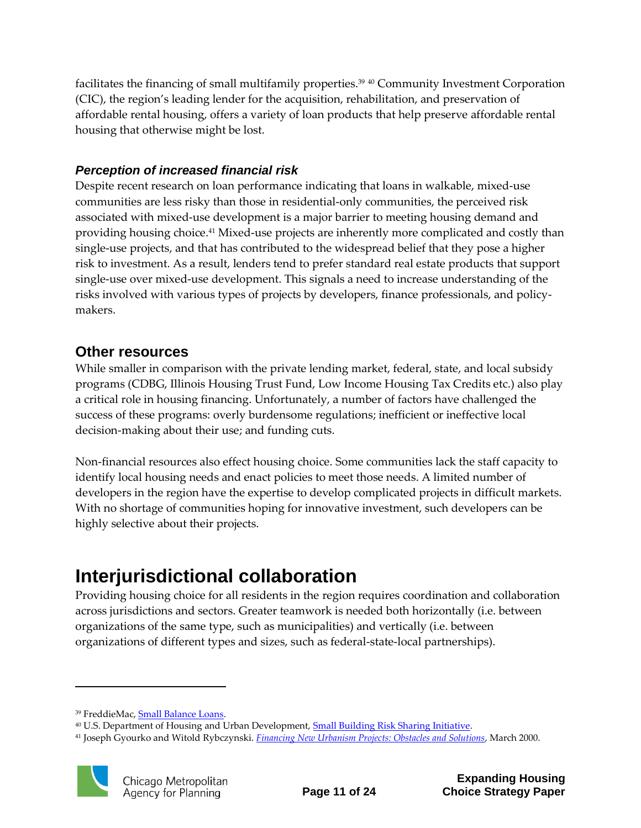facilitates the financing of small multifamily properties.<sup>39</sup> <sup>40</sup> Community Investment Corporation (CIC), the region's leading lender for the acquisition, rehabilitation, and preservation of affordable rental housing, offers a variety of loan products that help preserve affordable rental housing that otherwise might be lost.

#### *Perception of increased financial risk*

Despite recent research on loan performance indicating that loans in walkable, mixed-use communities are less risky than those in residential-only communities, the perceived risk associated with mixed-use development is a major barrier to meeting housing demand and providing housing choice.<sup>41</sup> Mixed-use projects are inherently more complicated and costly than single-use projects, and that has contributed to the widespread belief that they pose a higher risk to investment. As a result, lenders tend to prefer standard real estate products that support single-use over mixed-use development. This signals a need to increase understanding of the risks involved with various types of projects by developers, finance professionals, and policymakers.

#### **Other resources**

While smaller in comparison with the private lending market, federal, state, and local subsidy programs (CDBG, Illinois Housing Trust Fund, Low Income Housing Tax Credits etc.) also play a critical role in housing financing. Unfortunately, a number of factors have challenged the success of these programs: overly burdensome regulations; inefficient or ineffective local decision-making about their use; and funding cuts.

Non-financial resources also effect housing choice. Some communities lack the staff capacity to identify local housing needs and enact policies to meet those needs. A limited number of developers in the region have the expertise to develop complicated projects in difficult markets. With no shortage of communities hoping for innovative investment, such developers can be highly selective about their projects.

## **Interjurisdictional collaboration**

Providing housing choice for all residents in the region requires coordination and collaboration across jurisdictions and sectors. Greater teamwork is needed both horizontally (i.e. between organizations of the same type, such as municipalities) and vertically (i.e. between organizations of different types and sizes, such as federal-state-local partnerships).

<sup>41</sup> Joseph Gyourko and Witold Rybczynski. *[Financing New Urbanism Projects: Obstacles and Solutions](http://realestate.wharton.upenn.edu/wp-content/uploads/2017/03/330.pdf)*, March 2000.



<sup>39</sup> FreddieMac, [Small Balance Loans.](https://www.google.com/search?safe=off&biw=1600&bih=789&noj=1&q=Small+balance+loan+origination&spell=1&sa=X&ved=0ahUKEwiclZuC7-jRAhWEZCYKHc0lBsAQvwUIGSgA) 

<sup>&</sup>lt;sup>40</sup> U.S. Department of Housing and Urban Development, **Small Building Risk Sharing Initiative**.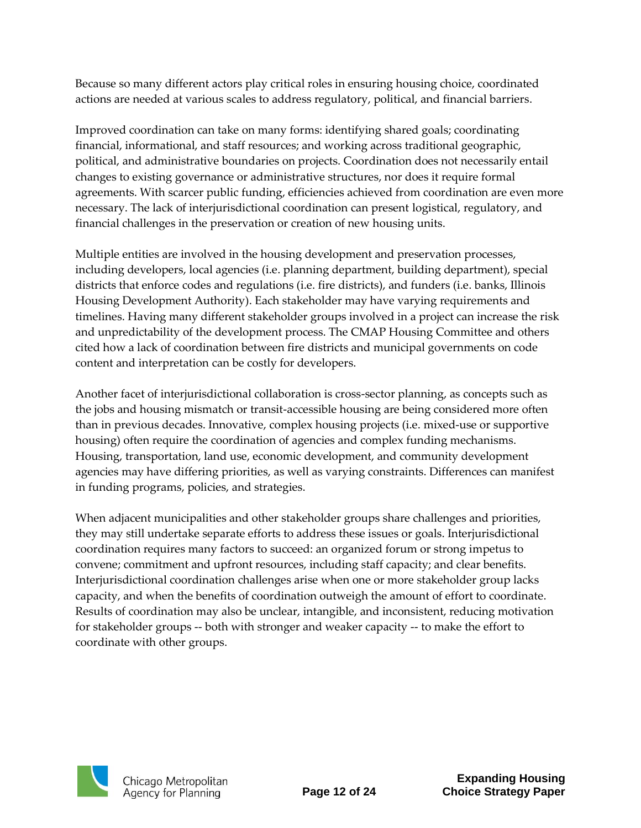Because so many different actors play critical roles in ensuring housing choice, coordinated actions are needed at various scales to address regulatory, political, and financial barriers.

Improved coordination can take on many forms: identifying shared goals; coordinating financial, informational, and staff resources; and working across traditional geographic, political, and administrative boundaries on projects. Coordination does not necessarily entail changes to existing governance or administrative structures, nor does it require formal agreements. With scarcer public funding, efficiencies achieved from coordination are even more necessary. The lack of interjurisdictional coordination can present logistical, regulatory, and financial challenges in the preservation or creation of new housing units.

Multiple entities are involved in the housing development and preservation processes, including developers, local agencies (i.e. planning department, building department), special districts that enforce codes and regulations (i.e. fire districts), and funders (i.e. banks, Illinois Housing Development Authority). Each stakeholder may have varying requirements and timelines. Having many different stakeholder groups involved in a project can increase the risk and unpredictability of the development process. The CMAP Housing Committee and others cited how a lack of coordination between fire districts and municipal governments on code content and interpretation can be costly for developers.

Another facet of interjurisdictional collaboration is cross-sector planning, as concepts such as the jobs and housing mismatch or transit-accessible housing are being considered more often than in previous decades. Innovative, complex housing projects (i.e. mixed-use or supportive housing) often require the coordination of agencies and complex funding mechanisms. Housing, transportation, land use, economic development, and community development agencies may have differing priorities, as well as varying constraints. Differences can manifest in funding programs, policies, and strategies.

When adjacent municipalities and other stakeholder groups share challenges and priorities, they may still undertake separate efforts to address these issues or goals. Interjurisdictional coordination requires many factors to succeed: an organized forum or strong impetus to convene; commitment and upfront resources, including staff capacity; and clear benefits. Interjurisdictional coordination challenges arise when one or more stakeholder group lacks capacity, and when the benefits of coordination outweigh the amount of effort to coordinate. Results of coordination may also be unclear, intangible, and inconsistent, reducing motivation for stakeholder groups -- both with stronger and weaker capacity -- to make the effort to coordinate with other groups.

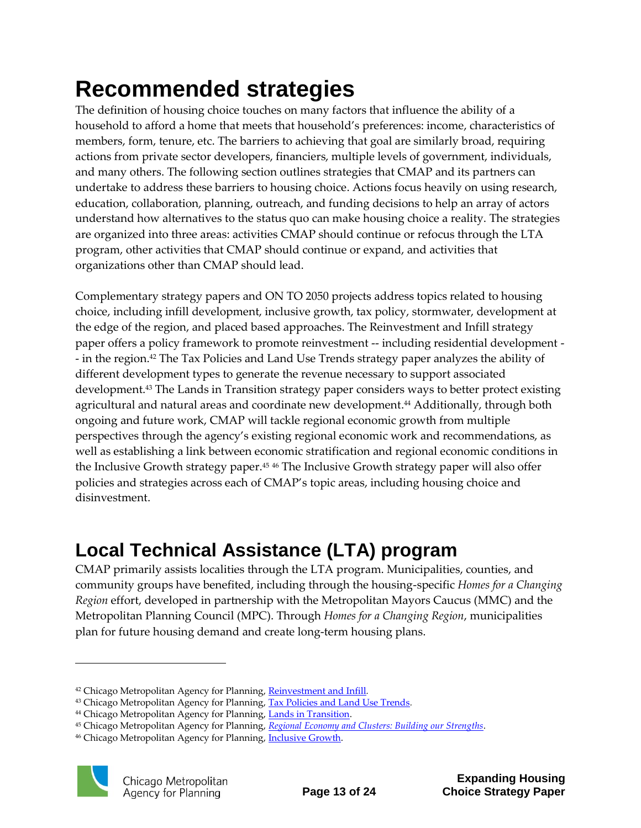# <span id="page-14-0"></span>**Recommended strategies**

The definition of housing choice touches on many factors that influence the ability of a household to afford a home that meets that household's preferences: income, characteristics of members, form, tenure, etc. The barriers to achieving that goal are similarly broad, requiring actions from private sector developers, financiers, multiple levels of government, individuals, and many others. The following section outlines strategies that CMAP and its partners can undertake to address these barriers to housing choice. Actions focus heavily on using research, education, collaboration, planning, outreach, and funding decisions to help an array of actors understand how alternatives to the status quo can make housing choice a reality. The strategies are organized into three areas: activities CMAP should continue or refocus through the LTA program, other activities that CMAP should continue or expand, and activities that organizations other than CMAP should lead.

Complementary strategy papers and ON TO 2050 projects address topics related to housing choice, including infill development, inclusive growth, tax policy, stormwater, development at the edge of the region, and placed based approaches. The Reinvestment and Infill strategy paper offers a policy framework to promote reinvestment -- including residential development - - in the region.<sup>42</sup> The Tax Policies and Land Use Trends strategy paper analyzes the ability of different development types to generate the revenue necessary to support associated development.<sup>43</sup> The Lands in Transition strategy paper considers ways to better protect existing agricultural and natural areas and coordinate new development. <sup>44</sup> Additionally, through both ongoing and future work, CMAP will tackle regional economic growth from multiple perspectives through the agency's existing regional economic work and recommendations, as well as establishing a link between economic stratification and regional economic conditions in the Inclusive Growth strategy paper.<sup>45</sup> <sup>46</sup> The Inclusive Growth strategy paper will also offer policies and strategies across each of CMAP's topic areas, including housing choice and disinvestment.

## **Local Technical Assistance (LTA) program**

CMAP primarily assists localities through the LTA program. Municipalities, counties, and community groups have benefited, including through the housing-specific *Homes for a Changing Region* effort, developed in partnership with the Metropolitan Mayors Caucus (MMC) and the Metropolitan Planning Council (MPC). Through *Homes for a Changing Region*, municipalities plan for future housing demand and create long-term housing plans.

<sup>&</sup>lt;sup>46</sup> Chicago Metropolitan Agency for Planning, *Inclusive Growth*.



<sup>42</sup> Chicago Metropolitan Agency for Planning, [Reinvestment and Infill](http://www.cmap.illinois.gov/onto2050/strategy-papers/reinvestment-infill)*.* 

<sup>43</sup> Chicago Metropolitan Agency for Planning, [Tax Policies and Land Use Trends](http://www.cmap.illinois.gov/onto2050/strategy-papers/tax-policy-land-use)*.* 

<sup>&</sup>lt;sup>44</sup> Chicago Metropolitan Agency for Planning, **Lands in Transition**.

<sup>45</sup> Chicago Metropolitan Agency for Planning, *[Regional Economy and Clusters: Building our Strengths](http://www.cmap.illinois.gov/onto2050/snapshot-reports/economic-clusters)*.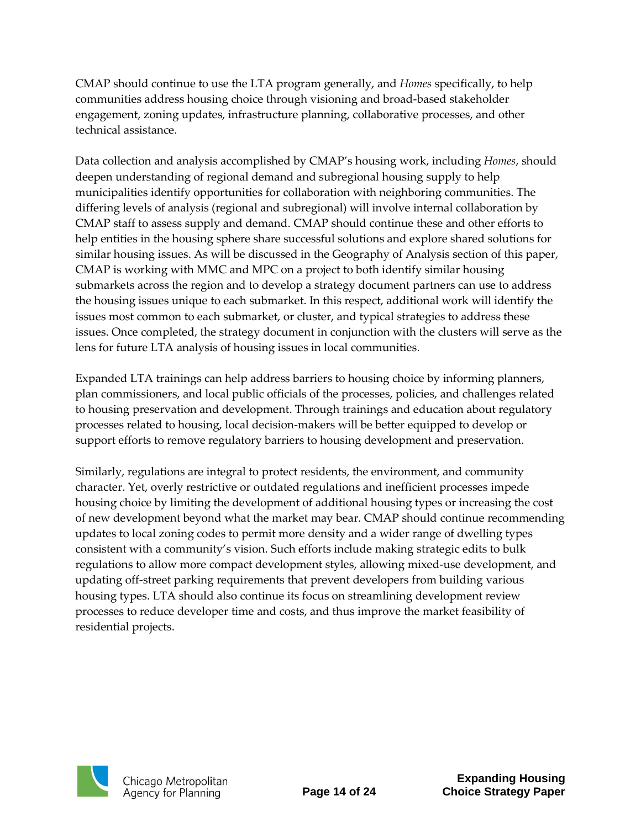CMAP should continue to use the LTA program generally, and *Homes* specifically, to help communities address housing choice through visioning and broad-based stakeholder engagement, zoning updates, infrastructure planning, collaborative processes, and other technical assistance.

Data collection and analysis accomplished by CMAP's housing work, including *Homes*, should deepen understanding of regional demand and subregional housing supply to help municipalities identify opportunities for collaboration with neighboring communities. The differing levels of analysis (regional and subregional) will involve internal collaboration by CMAP staff to assess supply and demand. CMAP should continue these and other efforts to help entities in the housing sphere share successful solutions and explore shared solutions for similar housing issues. As will be discussed in the Geography of Analysis section of this paper, CMAP is working with MMC and MPC on a project to both identify similar housing submarkets across the region and to develop a strategy document partners can use to address the housing issues unique to each submarket. In this respect, additional work will identify the issues most common to each submarket, or cluster, and typical strategies to address these issues. Once completed, the strategy document in conjunction with the clusters will serve as the lens for future LTA analysis of housing issues in local communities.

Expanded LTA trainings can help address barriers to housing choice by informing planners, plan commissioners, and local public officials of the processes, policies, and challenges related to housing preservation and development. Through trainings and education about regulatory processes related to housing, local decision-makers will be better equipped to develop or support efforts to remove regulatory barriers to housing development and preservation.

Similarly, regulations are integral to protect residents, the environment, and community character. Yet, overly restrictive or outdated regulations and inefficient processes impede housing choice by limiting the development of additional housing types or increasing the cost of new development beyond what the market may bear. CMAP should continue recommending updates to local zoning codes to permit more density and a wider range of dwelling types consistent with a community's vision. Such efforts include making strategic edits to bulk regulations to allow more compact development styles, allowing mixed-use development, and updating off-street parking requirements that prevent developers from building various housing types. LTA should also continue its focus on streamlining development review processes to reduce developer time and costs, and thus improve the market feasibility of residential projects.



Chicago Metropolitan<br>Agency for Planning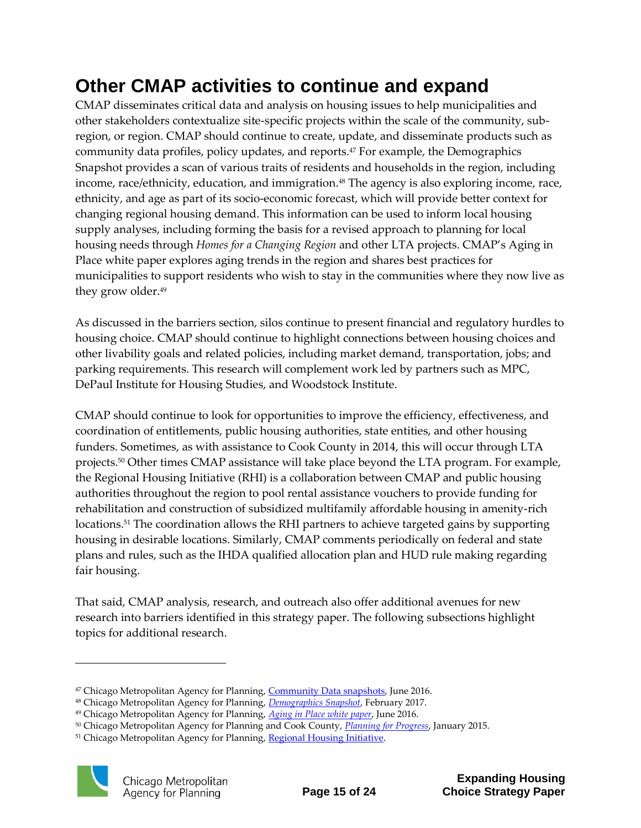### **Other CMAP activities to continue and expand**

CMAP disseminates critical data and analysis on housing issues to help municipalities and other stakeholders contextualize site-specific projects within the scale of the community, subregion, or region. CMAP should continue to create, update, and disseminate products such as community data profiles, policy updates, and reports. <sup>47</sup> For example, the Demographics Snapshot provides a scan of various traits of residents and households in the region, including income, race/ethnicity, education, and immigration.<sup>48</sup> The agency is also exploring income, race, ethnicity, and age as part of its socio-economic forecast, which will provide better context for changing regional housing demand. This information can be used to inform local housing supply analyses, including forming the basis for a revised approach to planning for local housing needs through *Homes for a Changing Region* and other LTA projects. CMAP's Aging in Place white paper explores aging trends in the region and shares best practices for municipalities to support residents who wish to stay in the communities where they now live as they grow older. 49

As discussed in the barriers section, silos continue to present financial and regulatory hurdles to housing choice. CMAP should continue to highlight connections between housing choices and other livability goals and related policies, including market demand, transportation, jobs; and parking requirements. This research will complement work led by partners such as MPC, DePaul Institute for Housing Studies, and Woodstock Institute.

CMAP should continue to look for opportunities to improve the efficiency, effectiveness, and coordination of entitlements, public housing authorities, state entities, and other housing funders. Sometimes, as with assistance to Cook County in 2014, this will occur through LTA projects. <sup>50</sup> Other times CMAP assistance will take place beyond the LTA program. For example, the Regional Housing Initiative (RHI) is a collaboration between CMAP and public housing authorities throughout the region to pool rental assistance vouchers to provide funding for rehabilitation and construction of subsidized multifamily affordable housing in amenity-rich locations.<sup>51</sup> The coordination allows the RHI partners to achieve targeted gains by supporting housing in desirable locations. Similarly, CMAP comments periodically on federal and state plans and rules, such as the IHDA qualified allocation plan and HUD rule making regarding fair housing.

That said, CMAP analysis, research, and outreach also offer additional avenues for new research into barriers identified in this strategy paper. The following subsections highlight topics for additional research.

<sup>&</sup>lt;sup>51</sup> Chicago Metropolitan Agency for Planning, [Regional Housing Initiative.](http://www.cmap.illinois.gov/livability/housing/rhi)



<sup>&</sup>lt;sup>47</sup> Chicago Metropolitan Agency for Planning, [Community Data snapshots,](http://www.cmap.illinois.gov/data/metropulse/community-snapshots) June 2016.

<sup>48</sup> Chicago Metropolitan Agency for Planning, *[Demographics Snapshot](http://www.cmap.illinois.gov/onto2050/snapshot-reports/demographics)*, February 2017.

<sup>49</sup> Chicago Metropolitan Agency for Planning, *[Aging in Place white paper](http://www.cmap.illinois.gov/programs-and-resources/local-ordinances-toolkits/aging-in-place)*, June 2016.

<sup>50</sup> Chicago Metropolitan Agency for Planning and Cook County, *[Planning for Progress](http://www.cmap.illinois.gov/programs-and-resources/lta/cook-county)*, January 2015.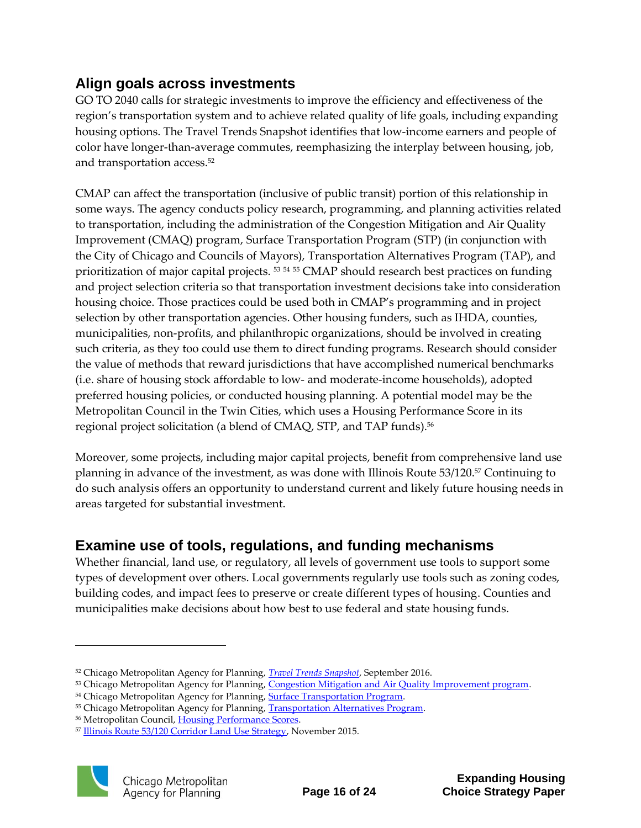### **Align goals across investments**

GO TO 2040 calls for strategic investments to improve the efficiency and effectiveness of the region's transportation system and to achieve related quality of life goals, including expanding housing options. The Travel Trends Snapshot identifies that low-income earners and people of color have longer-than-average commutes, reemphasizing the interplay between housing, job, and transportation access. 52

CMAP can affect the transportation (inclusive of public transit) portion of this relationship in some ways. The agency conducts policy research, programming, and planning activities related to transportation, including the administration of the Congestion Mitigation and Air Quality Improvement (CMAQ) program, Surface Transportation Program (STP) (in conjunction with the City of Chicago and Councils of Mayors), Transportation Alternatives Program (TAP), and prioritization of major capital projects.<sup>53 54 55</sup> CMAP should research best practices on funding and project selection criteria so that transportation investment decisions take into consideration housing choice. Those practices could be used both in CMAP's programming and in project selection by other transportation agencies. Other housing funders, such as IHDA, counties, municipalities, non-profits, and philanthropic organizations, should be involved in creating such criteria, as they too could use them to direct funding programs. Research should consider the value of methods that reward jurisdictions that have accomplished numerical benchmarks (i.e. share of housing stock affordable to low- and moderate-income households), adopted preferred housing policies, or conducted housing planning. A potential model may be the Metropolitan Council in the Twin Cities, which uses a Housing Performance Score in its regional project solicitation (a blend of CMAQ, STP, and TAP funds).<sup>56</sup>

Moreover, some projects, including major capital projects, benefit from comprehensive land use planning in advance of the investment, as was done with Illinois Route 53/120.<sup>57</sup> Continuing to do such analysis offers an opportunity to understand current and likely future housing needs in areas targeted for substantial investment.

### **Examine use of tools, regulations, and funding mechanisms**

Whether financial, land use, or regulatory, all levels of government use tools to support some types of development over others. Local governments regularly use tools such as zoning codes, building codes, and impact fees to preserve or create different types of housing. Counties and municipalities make decisions about how best to use federal and state housing funds.

<sup>57</sup> [Illinois Route 53/120 Corridor Land Use Strategy,](http://lakecorridorplan.org/) November 2015.



<sup>52</sup> Chicago Metropolitan Agency for Planning, *[Travel Trends Snapshot](http://www.cmap.illinois.gov/documents/10180/475314/FY17-0012%20Travel%20Trends%20Snapshot/340ac516-6fc7-4f0e-964e-40d84161c034)*, September 2016.

<sup>53</sup> Chicago Metropolitan Agency for Planning, [Congestion Mitigation and Air Quality Improvement program.](http://www.cmap.illinois.gov/mobility/strategic-investment/cmaq)

<sup>&</sup>lt;sup>54</sup> Chicago Metropolitan Agency for Planning, **Surface Transportation Program**.

<sup>&</sup>lt;sup>55</sup> Chicago Metropolitan Agency for Planning, Transportation Alternatives Program.

<sup>&</sup>lt;sup>56</sup> Metropolitan Council, [Housing Performance Scores.](https://metrocouncil.org/Housing/Planning/Housing-Performance-Scores.aspx)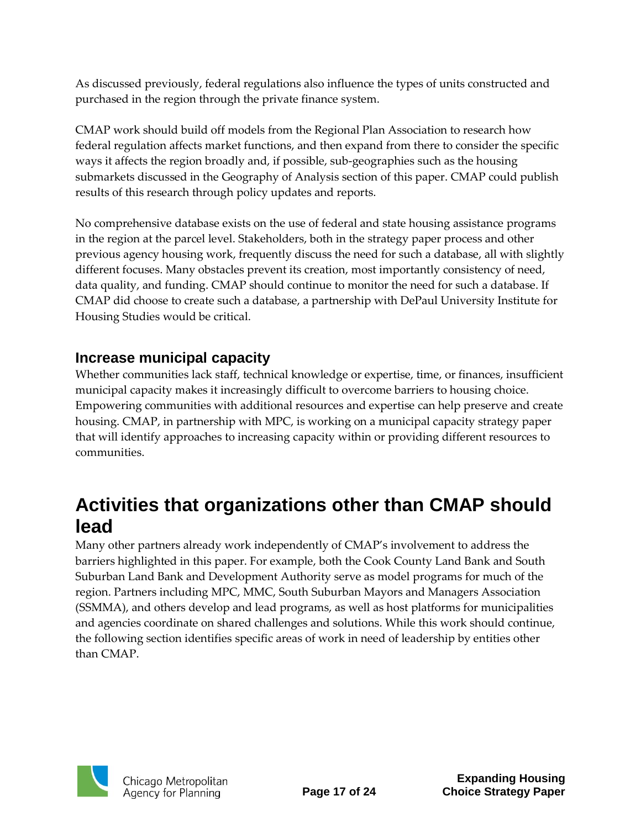As discussed previously, federal regulations also influence the types of units constructed and purchased in the region through the private finance system.

CMAP work should build off models from the Regional Plan Association to research how federal regulation affects market functions, and then expand from there to consider the specific ways it affects the region broadly and, if possible, sub-geographies such as the housing submarkets discussed in the Geography of Analysis section of this paper. CMAP could publish results of this research through policy updates and reports.

No comprehensive database exists on the use of federal and state housing assistance programs in the region at the parcel level. Stakeholders, both in the strategy paper process and other previous agency housing work, frequently discuss the need for such a database, all with slightly different focuses. Many obstacles prevent its creation, most importantly consistency of need, data quality, and funding. CMAP should continue to monitor the need for such a database. If CMAP did choose to create such a database, a partnership with DePaul University Institute for Housing Studies would be critical.

#### **Increase municipal capacity**

Whether communities lack staff, technical knowledge or expertise, time, or finances, insufficient municipal capacity makes it increasingly difficult to overcome barriers to housing choice. Empowering communities with additional resources and expertise can help preserve and create housing. CMAP, in partnership with MPC, is working on a municipal capacity strategy paper that will identify approaches to increasing capacity within or providing different resources to communities.

### **Activities that organizations other than CMAP should lead**

Many other partners already work independently of CMAP's involvement to address the barriers highlighted in this paper. For example, both the Cook County Land Bank and South Suburban Land Bank and Development Authority serve as model programs for much of the region. Partners including MPC, MMC, South Suburban Mayors and Managers Association (SSMMA), and others develop and lead programs, as well as host platforms for municipalities and agencies coordinate on shared challenges and solutions. While this work should continue, the following section identifies specific areas of work in need of leadership by entities other than CMAP.

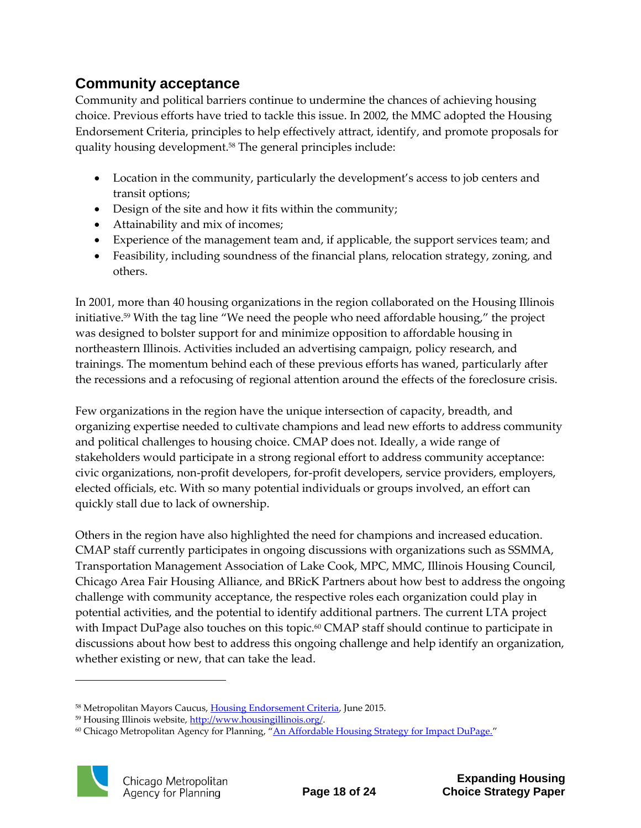### **Community acceptance**

Community and political barriers continue to undermine the chances of achieving housing choice. Previous efforts have tried to tackle this issue. In 2002, the MMC adopted the Housing Endorsement Criteria, principles to help effectively attract, identify, and promote proposals for quality housing development.<sup>58</sup> The general principles include:

- Location in the community, particularly the development's access to job centers and transit options;
- Design of the site and how it fits within the community;
- Attainability and mix of incomes;
- Experience of the management team and, if applicable, the support services team; and
- Feasibility, including soundness of the financial plans, relocation strategy, zoning, and others.

In 2001, more than 40 housing organizations in the region collaborated on the Housing Illinois initiative. <sup>59</sup> With the tag line "We need the people who need affordable housing," the project was designed to bolster support for and minimize opposition to affordable housing in northeastern Illinois. Activities included an advertising campaign, policy research, and trainings. The momentum behind each of these previous efforts has waned, particularly after the recessions and a refocusing of regional attention around the effects of the foreclosure crisis.

Few organizations in the region have the unique intersection of capacity, breadth, and organizing expertise needed to cultivate champions and lead new efforts to address community and political challenges to housing choice. CMAP does not. Ideally, a wide range of stakeholders would participate in a strong regional effort to address community acceptance: civic organizations, non-profit developers, for-profit developers, service providers, employers, elected officials, etc. With so many potential individuals or groups involved, an effort can quickly stall due to lack of ownership.

Others in the region have also highlighted the need for champions and increased education. CMAP staff currently participates in ongoing discussions with organizations such as SSMMA, Transportation Management Association of Lake Cook, MPC, MMC, Illinois Housing Council, Chicago Area Fair Housing Alliance, and BRicK Partners about how best to address the ongoing challenge with community acceptance, the respective roles each organization could play in potential activities, and the potential to identify additional partners. The current LTA project with Impact DuPage also touches on this topic.<sup>60</sup> CMAP staff should continue to participate in discussions about how best to address this ongoing challenge and help identify an organization, whether existing or new, that can take the lead.

<sup>&</sup>lt;sup>60</sup> Chicago Metropolitan Agency for Planning, "[An Affordable Housing Strategy for Impact DuPage.](http://www.cmap.illinois.gov/programs-and-resources/lta/impact-dupage)"



<sup>58</sup> Metropolitan Mayors Caucus, [Housing Endorsement Criteria,](http://mayorscaucus.org/wp-content/uploads/2015/06/Housing-Endorsement-Criteria-072310.pdf) June 2015.

<sup>59</sup> Housing Illinois website[, http://www.housingillinois.org/.](http://www.housingillinois.org/)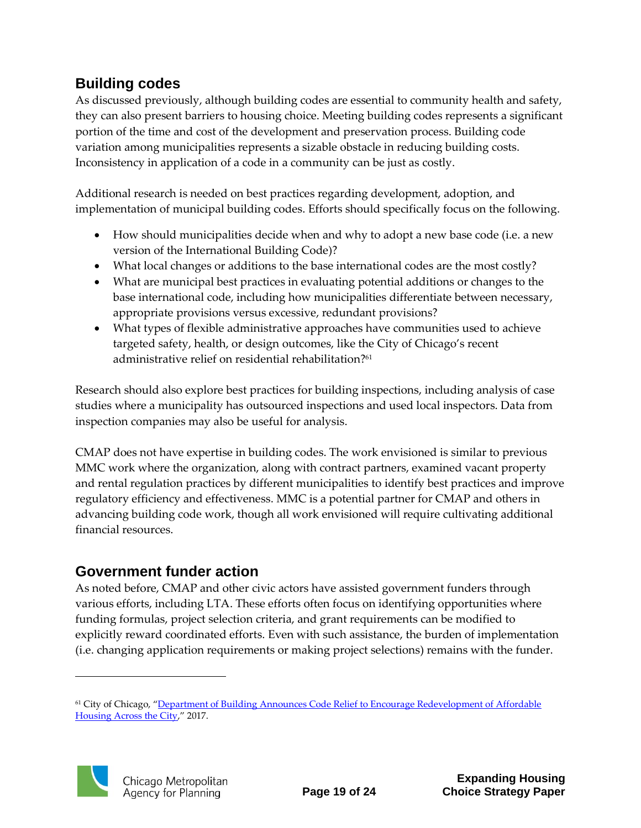### **Building codes**

As discussed previously, although building codes are essential to community health and safety, they can also present barriers to housing choice. Meeting building codes represents a significant portion of the time and cost of the development and preservation process. Building code variation among municipalities represents a sizable obstacle in reducing building costs. Inconsistency in application of a code in a community can be just as costly.

Additional research is needed on best practices regarding development, adoption, and implementation of municipal building codes. Efforts should specifically focus on the following.

- How should municipalities decide when and why to adopt a new base code (i.e. a new version of the International Building Code)?
- What local changes or additions to the base international codes are the most costly?
- What are municipal best practices in evaluating potential additions or changes to the base international code, including how municipalities differentiate between necessary, appropriate provisions versus excessive, redundant provisions?
- What types of flexible administrative approaches have communities used to achieve targeted safety, health, or design outcomes, like the City of Chicago's recent administrative relief on residential rehabilitation? 61

Research should also explore best practices for building inspections, including analysis of case studies where a municipality has outsourced inspections and used local inspectors. Data from inspection companies may also be useful for analysis.

CMAP does not have expertise in building codes. The work envisioned is similar to previous MMC work where the organization, along with contract partners, examined vacant property and rental regulation practices by different municipalities to identify best practices and improve regulatory efficiency and effectiveness. MMC is a potential partner for CMAP and others in advancing building code work, though all work envisioned will require cultivating additional financial resources.

### **Government funder action**

As noted before, CMAP and other civic actors have assisted government funders through various efforts, including LTA. These efforts often focus on identifying opportunities where funding formulas, project selection criteria, and grant requirements can be modified to explicitly reward coordinated efforts. Even with such assistance, the burden of implementation (i.e. changing application requirements or making project selections) remains with the funder.

<sup>&</sup>lt;sup>61</sup> City of Chicago, "Department of Building Announces Code Relief to Encourage Redevelopment of Affordable [Housing Across the City](https://www.cityofchicago.org/city/en/depts/bldgs/provdrs/vacant_buildings/news/2017/february/department-of-buildings-announces-code-relief-to-encourage-redev.html)," 2017.

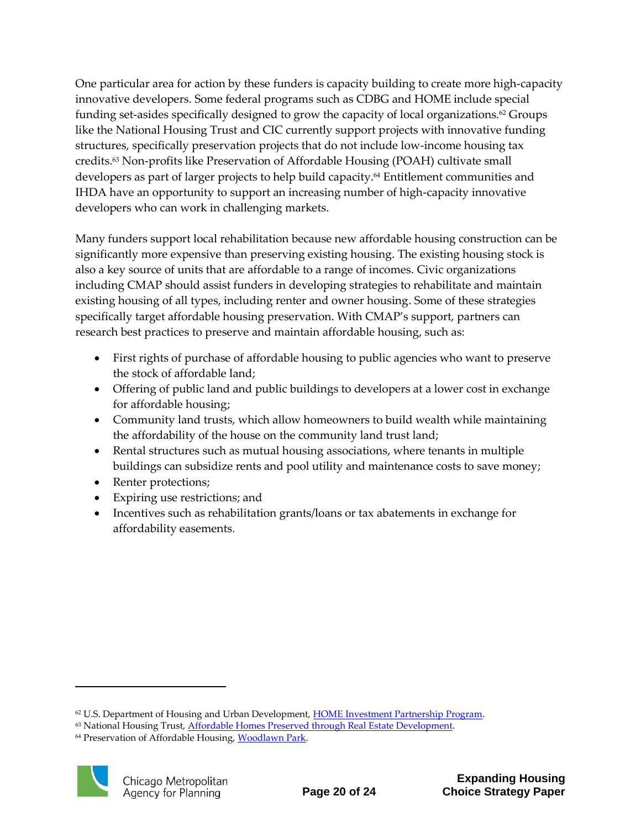One particular area for action by these funders is capacity building to create more high-capacity innovative developers. Some federal programs such as CDBG and HOME include special funding set-asides specifically designed to grow the capacity of local organizations.<sup>62</sup> Groups like the National Housing Trust and CIC currently support projects with innovative funding structures, specifically preservation projects that do not include low-income housing tax credits.<sup>63</sup> Non-profits like Preservation of Affordable Housing (POAH) cultivate small developers as part of larger projects to help build capacity.<sup>64</sup> Entitlement communities and IHDA have an opportunity to support an increasing number of high-capacity innovative developers who can work in challenging markets.

Many funders support local rehabilitation because new affordable housing construction can be significantly more expensive than preserving existing housing. The existing housing stock is also a key source of units that are affordable to a range of incomes. Civic organizations including CMAP should assist funders in developing strategies to rehabilitate and maintain existing housing of all types, including renter and owner housing. Some of these strategies specifically target affordable housing preservation. With CMAP's support, partners can research best practices to preserve and maintain affordable housing, such as:

- First rights of purchase of affordable housing to public agencies who want to preserve the stock of affordable land;
- Offering of public land and public buildings to developers at a lower cost in exchange for affordable housing;
- Community land trusts, which allow homeowners to build wealth while maintaining the affordability of the house on the community land trust land;
- Rental structures such as mutual housing associations, where tenants in multiple buildings can subsidize rents and pool utility and maintenance costs to save money;
- Renter protections;
- Expiring use restrictions; and
- Incentives such as rehabilitation grants/loans or tax abatements in exchange for affordability easements.

<sup>&</sup>lt;sup>64</sup> Preservation of Affordable Housing, [Woodlawn Park.](http://www.poahchicago.org/choice-community/)



 $62$  U.S. Department of Housing and Urban Development, [HOME Investment Partnership Program.](https://www.hudexchange.info/programs/home/home-chdo/#policy-guidance)

<sup>&</sup>lt;sup>63</sup> National Housing Trust, **Affordable Homes Preserved through Real Estate Development**.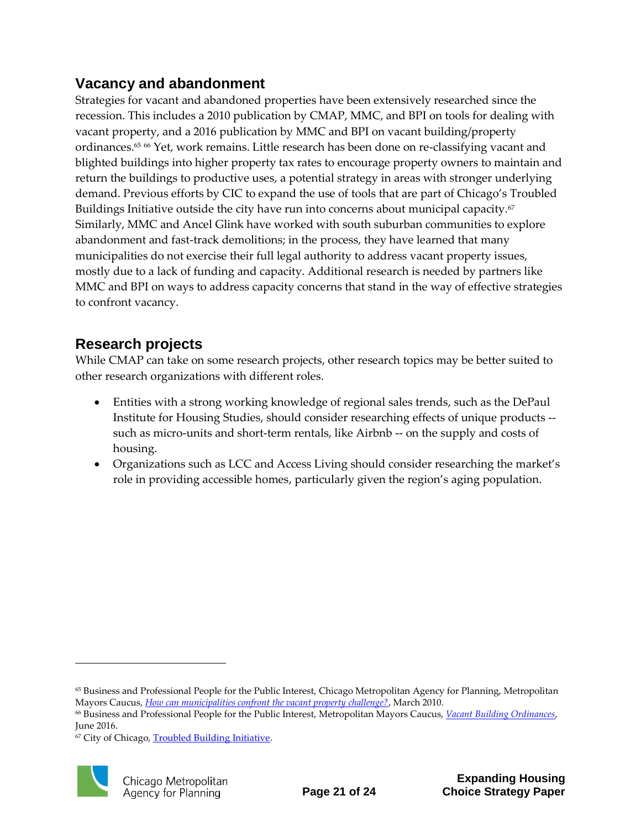### **Vacancy and abandonment**

Strategies for vacant and abandoned properties have been extensively researched since the recession. This includes a 2010 publication by CMAP, MMC, and BPI on tools for dealing with vacant property, and a 2016 publication by MMC and BPI on vacant building/property ordinances.<sup>65</sup> 66 Yet, work remains. Little research has been done on re-classifying vacant and blighted buildings into higher property tax rates to encourage property owners to maintain and return the buildings to productive uses, a potential strategy in areas with stronger underlying demand. Previous efforts by CIC to expand the use of tools that are part of Chicago's Troubled Buildings Initiative outside the city have run into concerns about municipal capacity.<sup>67</sup> Similarly, MMC and Ancel Glink have worked with south suburban communities to explore abandonment and fast-track demolitions; in the process, they have learned that many municipalities do not exercise their full legal authority to address vacant property issues, mostly due to a lack of funding and capacity. Additional research is needed by partners like MMC and BPI on ways to address capacity concerns that stand in the way of effective strategies to confront vacancy.

### **Research projects**

While CMAP can take on some research projects, other research topics may be better suited to other research organizations with different roles.

- Entities with a strong working knowledge of regional sales trends, such as the DePaul Institute for Housing Studies, should consider researching effects of unique products - such as micro-units and short-term rentals, like Airbnb -- on the supply and costs of housing.
- Organizations such as LCC and Access Living should consider researching the market's role in providing accessible homes, particularly given the region's aging population.

<sup>&</sup>lt;sup>67</sup> City of Chicago, **Troubled Building Initiative**.



<sup>65</sup> Business and Professional People for the Public Interest, Chicago Metropolitan Agency for Planning, Metropolitan Mayors Caucus, *[How can municipalities confront the vacant property challenge?](http://mayorscaucus.org/initiatives/housing-and-community-development/vacant-property-issues/)*, March 2010.

<sup>66</sup> Business and Professional People for the Public Interest, Metropolitan Mayors Caucus, *[Vacant Building Ordinances](http://mayorscaucus.org/initiatives/housing-and-community-development/vacant-property-issues/)*, June 2016.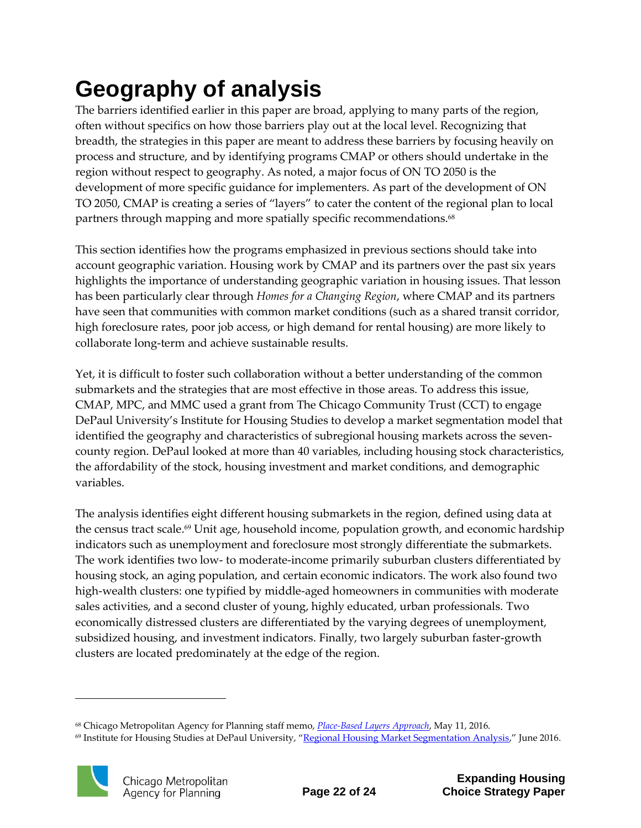# <span id="page-23-0"></span>**Geography of analysis**

The barriers identified earlier in this paper are broad, applying to many parts of the region, often without specifics on how those barriers play out at the local level. Recognizing that breadth, the strategies in this paper are meant to address these barriers by focusing heavily on process and structure, and by identifying programs CMAP or others should undertake in the region without respect to geography. As noted, a major focus of ON TO 2050 is the development of more specific guidance for implementers. As part of the development of ON TO 2050, CMAP is creating a series of "layers" to cater the content of the regional plan to local partners through mapping and more spatially specific recommendations.<sup>68</sup>

This section identifies how the programs emphasized in previous sections should take into account geographic variation. Housing work by CMAP and its partners over the past six years highlights the importance of understanding geographic variation in housing issues. That lesson has been particularly clear through *Homes for a Changing Region*, where CMAP and its partners have seen that communities with common market conditions (such as a shared transit corridor, high foreclosure rates, poor job access, or high demand for rental housing) are more likely to collaborate long-term and achieve sustainable results.

Yet, it is difficult to foster such collaboration without a better understanding of the common submarkets and the strategies that are most effective in those areas. To address this issue, CMAP, MPC, and MMC used a grant from The Chicago Community Trust (CCT) to engage DePaul University's Institute for Housing Studies to develop a market segmentation model that identified the geography and characteristics of subregional housing markets across the sevencounty region. DePaul looked at more than 40 variables, including housing stock characteristics, the affordability of the stock, housing investment and market conditions, and demographic variables.

The analysis identifies eight different housing submarkets in the region, defined using data at the census tract scale. <sup>69</sup> Unit age, household income, population growth, and economic hardship indicators such as unemployment and foreclosure most strongly differentiate the submarkets. The work identifies two low- to moderate-income primarily suburban clusters differentiated by housing stock, an aging population, and certain economic indicators. The work also found two high-wealth clusters: one typified by middle-aged homeowners in communities with moderate sales activities, and a second cluster of young, highly educated, urban professionals. Two economically distressed clusters are differentiated by the varying degrees of unemployment, subsidized housing, and investment indicators. Finally, two largely suburban faster-growth clusters are located predominately at the edge of the region.

<sup>&</sup>lt;sup>69</sup> Institute for Housing Studies at DePaul University, "[Regional Housing Market Segmentation Analysis](http://www.cmap.illinois.gov/documents/10180/615704/IHSRegionalHousingMarketSegmentationAnalysis_Final.pdf/ad2d9292-7aed-4c9f-8308-221d06bdd85a)," June 2016.



<sup>68</sup> Chicago Metropolitan Agency for Planning staff memo, *[Place-Based Layers Approach](http://www.cmap.illinois.gov/documents/10180/542692/universe+of+layers+memo+LU_051816a.pdf/3e9b9d8d-491c-466c-b566-ba76f2a0bf28)*, May 11, 2016.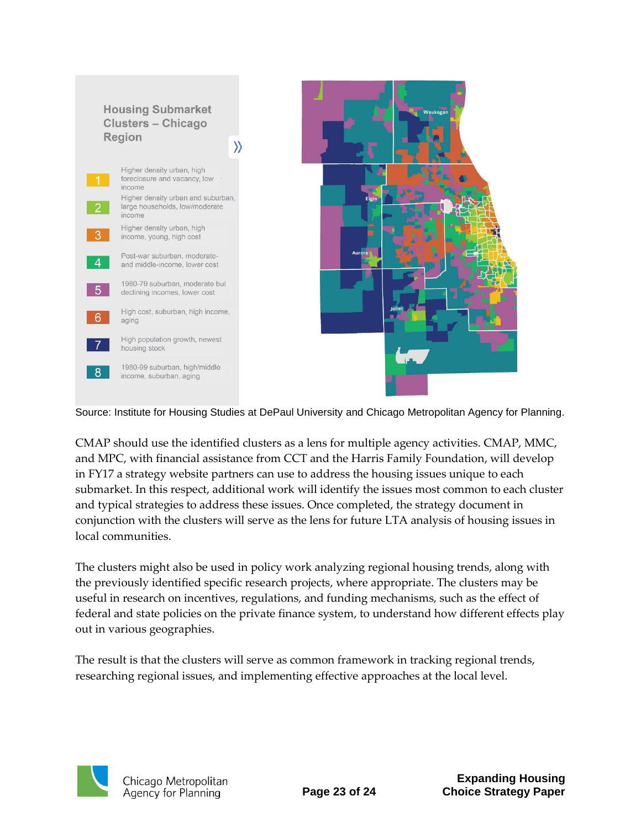

Source: Institute for Housing Studies at DePaul University and Chicago Metropolitan Agency for Planning.

CMAP should use the identified clusters as a lens for multiple agency activities. CMAP, MMC, and MPC, with financial assistance from CCT and the Harris Family Foundation, will develop in FY17 a strategy website partners can use to address the housing issues unique to each submarket. In this respect, additional work will identify the issues most common to each cluster and typical strategies to address these issues. Once completed, the strategy document in conjunction with the clusters will serve as the lens for future LTA analysis of housing issues in local communities.

The clusters might also be used in policy work analyzing regional housing trends, along with the previously identified specific research projects, where appropriate. The clusters may be useful in research on incentives, regulations, and funding mechanisms, such as the effect of federal and state policies on the private finance system, to understand how different effects play out in various geographies.

The result is that the clusters will serve as common framework in tracking regional trends, researching regional issues, and implementing effective approaches at the local level.

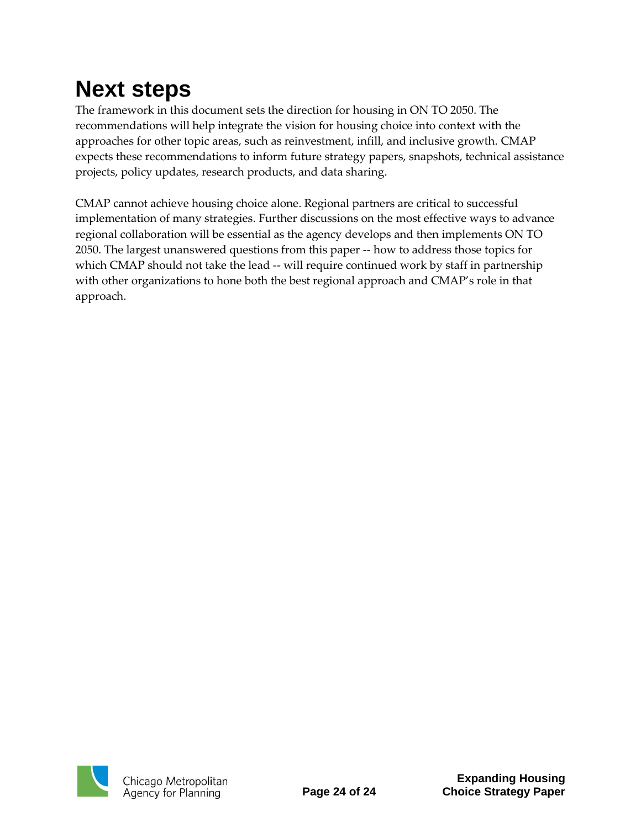# <span id="page-25-0"></span>**Next steps**

The framework in this document sets the direction for housing in ON TO 2050. The recommendations will help integrate the vision for housing choice into context with the approaches for other topic areas, such as reinvestment, infill, and inclusive growth. CMAP expects these recommendations to inform future strategy papers, snapshots, technical assistance projects, policy updates, research products, and data sharing.

CMAP cannot achieve housing choice alone. Regional partners are critical to successful implementation of many strategies. Further discussions on the most effective ways to advance regional collaboration will be essential as the agency develops and then implements ON TO 2050. The largest unanswered questions from this paper -- how to address those topics for which CMAP should not take the lead -- will require continued work by staff in partnership with other organizations to hone both the best regional approach and CMAP's role in that approach.